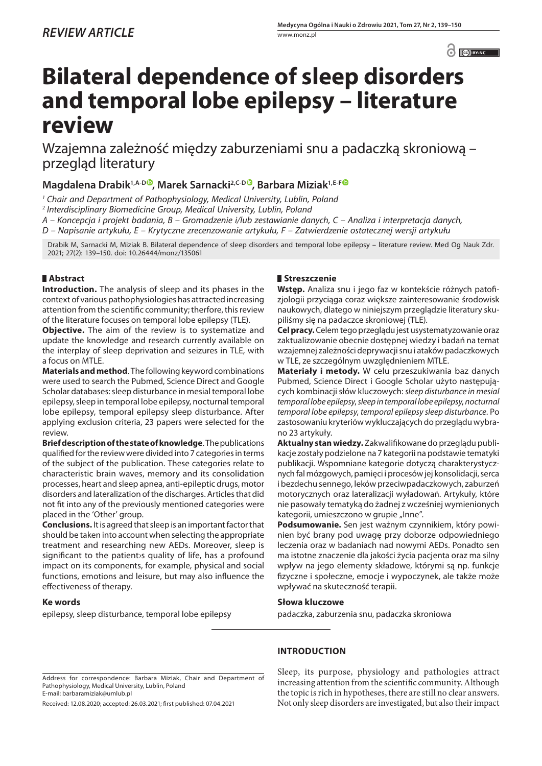$\odot$   $\odot$  BY-NC

# **Bilateral dependence of sleep disorders and temporal lobe epilepsy – literature review**

Wzajemna zależność między zaburzeniami snu a padaczką skroniową – przegląd literatury

**Magdalena Drabik<sup>1,A-D</sup>, Marek Sarnacki<sup>2,C-D</sup>, Barbara Miziak<sup>1,E-F</sup>** 

*<sup>1</sup> Chair and Department of Pathophysiology, Medical University, Lublin, Poland*

<sup>2</sup> *Interdisciplinary Biomedicine Group, Medical University, Lublin, Poland*

*A – Koncepcja i projekt badania, B – Gromadzenie i/lub zestawianie danych, C – Analiza i interpretacja danych,* 

*D – Napisanie artykułu, E – Krytyczne zrecenzowanie artykułu, F – Zatwierdzenie ostatecznej wersji artykułu*

Drabik M, Sarnacki M, Miziak B. Bilateral dependence of sleep disorders and temporal lobe epilepsy – literature review. Med Og Nauk Zdr. 2021; 27(2): 139–150. doi: 10.26444/monz/135061

# **Abstract**

**Introduction.** The analysis of sleep and its phases in the context of various pathophysiologies has attracted increasing attention from the scientific community; therfore, this review of the literature focuses on temporal lobe epilepsy (TLE).

**Objective.** The aim of the review is to systematize and update the knowledge and research currently available on the interplay of sleep deprivation and seizures in TLE, with a focus on MTLE.

**Materials and method**. The following keyword combinations were used to search the Pubmed, Science Direct and Google Scholar databases: sleep disturbance in mesial temporal lobe epilepsy, sleep in temporal lobe epilepsy, nocturnal temporal lobe epilepsy, temporal epilepsy sleep disturbance. After applying exclusion criteria, 23 papers were selected for the review.

**Brief description of the state of knowledge**. The publications qualified for the review were divided into 7 categories in terms of the subject of the publication. These categories relate to characteristic brain waves, memory and its consolidation processes, heart and sleep apnea, anti-epileptic drugs, motor disorders and lateralization of the discharges. Articles that did not fit into any of the previously mentioned categories were placed in the 'Other' group.

**Conclusions.** It is agreed that sleep is an important factor that should be taken into account when selecting the appropriate treatment and researching new AEDs. Moreover, sleep is significant to the patient›s quality of life, has a profound impact on its components, for example, physical and social functions, emotions and leisure, but may also influence the effectiveness of therapy.

## **Ke words**

epilepsy, sleep disturbance, temporal lobe epilepsy

## **Streszczenie**

**Wstęp.** Analiza snu i jego faz w kontekście różnych patofizjologii przyciąga coraz większe zainteresowanie środowisk naukowych, dlatego w niniejszym przeglądzie literatury skupiliśmy się na padaczce skroniowej (TLE).

**Cel pracy.** Celem tego przeglądu jest usystematyzowanie oraz zaktualizowanie obecnie dostępnej wiedzy i badań na temat wzajemnej zależności deprywacji snu i ataków padaczkowych w TLE, ze szczególnym uwzględnieniem MTLE.

**Materiały i metody.** W celu przeszukiwania baz danych Pubmed, Science Direct i Google Scholar użyto następujących kombinacji słów kluczowych: *sleep disturbance in mesial temporal lobe epilepsy*, *sleep in temporal lobe epilepsy*, *nocturnal temporal lobe epilepsy*, *temporal epilepsy sleep disturbance*. Po zastosowaniu kryteriów wykluczających do przeglądu wybrano 23 artykuły.

**Aktualny stan wiedzy.** Zakwalifikowane do przeglądu publikacje zostały podzielone na 7 kategorii na podstawie tematyki publikacji. Wspomniane kategorie dotyczą charakterystycznych fal mózgowych, pamięci i procesów jej konsolidacji, serca i bezdechu sennego, leków przeciwpadaczkowych, zaburzeń motorycznych oraz lateralizacji wyładowań. Artykuły, które nie pasowały tematyką do żadnej z wcześniej wymienionych kategorii, umieszczono w grupie "Inne".

**Podsumowanie.** Sen jest ważnym czynnikiem, który powinien być brany pod uwagę przy doborze odpowiedniego leczenia oraz w badaniach nad nowymi AEDs. Ponadto sen ma istotne znaczenie dla jakości życia pacjenta oraz ma silny wpływ na jego elementy składowe, którymi są np. funkcje fizyczne i społeczne, emocje i wypoczynek, ale także może wpływać na skuteczność terapii.

## **Słowa kluczowe**

padaczka, zaburzenia snu, padaczka skroniowa

Address for correspondence: Barbara Miziak, Chair and Department of Pathophysiology, Medical University, Lublin, Poland E-mail: barbaramiziak@umlub.pl

Received: 12.08.2020; accepted: 26.03.2021; first published: 07.04.2021

# **INTRODUCTION**

Sleep, its purpose, physiology and pathologies attract increasing attention from the scientific community. Although the topic is rich in hypotheses, there are still no clear answers. Not only sleep disorders are investigated, but also their impact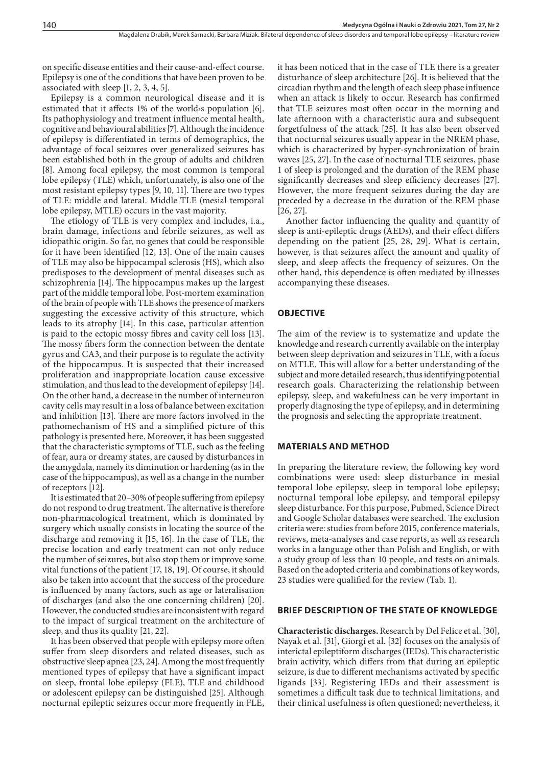on specific disease entities and their cause-and-effect course. Epilepsy is one of the conditions that have been proven to be associated with sleep [1, 2, 3, 4, 5].

Epilepsy is a common neurological disease and it is estimated that it affects 1% of the world›s population [6]. Its pathophysiology and treatment influence mental health, cognitive and behavioural abilities [7]. Although the incidence of epilepsy is differentiated in terms of demographics, the advantage of focal seizures over generalized seizures has been established both in the group of adults and children [8]. Among focal epilepsy, the most common is temporal lobe epilepsy (TLE) which, unfortunately, is also one of the most resistant epilepsy types [9, 10, 11]. There are two types of TLE: middle and lateral. Middle TLE (mesial temporal lobe epilepsy, MTLE) occurs in the vast majority.

The etiology of TLE is very complex and includes, i.a., brain damage, infections and febrile seizures, as well as idiopathic origin. So far, no genes that could be responsible for it have been identified [12, 13]. One of the main causes of TLE may also be hippocampal sclerosis (HS), which also predisposes to the development of mental diseases such as schizophrenia [14]. The hippocampus makes up the largest part of the middle temporal lobe. Post-mortem examination of the brain of people with TLE shows the presence of markers suggesting the excessive activity of this structure, which leads to its atrophy [14]. In this case, particular attention is paid to the ectopic mossy fibres and cavity cell loss [13]. The mossy fibers form the connection between the dentate gyrus and CA3, and their purpose is to regulate the activity of the hippocampus. It is suspected that their increased proliferation and inappropriate location cause excessive stimulation, and thus lead to the development of epilepsy [14]. On the other hand, a decrease in the number of interneuron cavity cells may result in a loss of balance between excitation and inhibition [13]. There are more factors involved in the pathomechanism of HS and a simplified picture of this pathology is presented here. Moreover, it has been suggested that the characteristic symptoms of TLE, such as the feeling of fear, aura or dreamy states, are caused by disturbances in the amygdala, namely its diminution or hardening (as in the case of the hippocampus), as well as a change in the number of receptors [12].

It is estimated that 20–30% of people suffering from epilepsy do not respond to drug treatment. The alternative is therefore non-pharmacological treatment, which is dominated by surgery which usually consists in locating the source of the discharge and removing it [15, 16]. In the case of TLE, the precise location and early treatment can not only reduce the number of seizures, but also stop them or improve some vital functions of the patient [17, 18, 19]. Of course, it should also be taken into account that the success of the procedure is influenced by many factors, such as age or lateralisation of discharges (and also the one concerning children) [20]. However, the conducted studies are inconsistent with regard to the impact of surgical treatment on the architecture of sleep, and thus its quality [21, 22].

It has been observed that people with epilepsy more often suffer from sleep disorders and related diseases, such as obstructive sleep apnea [23, 24]. Among the most frequently mentioned types of epilepsy that have a significant impact on sleep, frontal lobe epilepsy (FLE), TLE and childhood or adolescent epilepsy can be distinguished [25]. Although nocturnal epileptic seizures occur more frequently in FLE,

it has been noticed that in the case of TLE there is a greater disturbance of sleep architecture [26]. It is believed that the circadian rhythm and the length of each sleep phase influence when an attack is likely to occur. Research has confirmed that TLE seizures most often occur in the morning and late afternoon with a characteristic aura and subsequent forgetfulness of the attack [25]. It has also been observed that nocturnal seizures usually appear in the NREM phase, which is characterized by hyper-synchronization of brain waves [25, 27]. In the case of nocturnal TLE seizures, phase 1 of sleep is prolonged and the duration of the REM phase significantly decreases and sleep efficiency decreases [27]. However, the more frequent seizures during the day are preceded by a decrease in the duration of the REM phase [26, 27].

Another factor influencing the quality and quantity of sleep is anti-epileptic drugs (AEDs), and their effect differs depending on the patient [25, 28, 29]. What is certain, however, is that seizures affect the amount and quality of sleep, and sleep affects the frequency of seizures. On the other hand, this dependence is often mediated by illnesses accompanying these diseases.

#### **OBJECTIVE**

The aim of the review is to systematize and update the knowledge and research currently available on the interplay between sleep deprivation and seizures in TLE, with a focus on MTLE. This will allow for a better understanding of the subject and more detailed research, thus identifying potential research goals. Characterizing the relationship between epilepsy, sleep, and wakefulness can be very important in properly diagnosing the type of epilepsy, and in determining the prognosis and selecting the appropriate treatment.

#### **MATERIALS AND METHOD**

In preparing the literature review, the following key word combinations were used: sleep disturbance in mesial temporal lobe epilepsy, sleep in temporal lobe epilepsy; nocturnal temporal lobe epilepsy, and temporal epilepsy sleep disturbance. For this purpose, Pubmed, Science Direct and Google Scholar databases were searched. The exclusion criteria were: studies from before 2015, conference materials, reviews, meta-analyses and case reports, as well as research works in a language other than Polish and English, or with a study group of less than 10 people, and tests on animals. Based on the adopted criteria and combinations of key words, 23 studies were qualified for the review (Tab. 1).

#### **BRIEF DESCRIPTION OF THE STATE OF KNOWLEDGE**

**Characteristic discharges.** Research by Del Felice et al. [30], Nayak et al. [31], Giorgi et al. [32] focuses on the analysis of interictal epileptiform discharges (IEDs). This characteristic brain activity, which differs from that during an epileptic seizure, is due to different mechanisms activated by specific ligands [33]. Registering IEDs and their assessment is sometimes a difficult task due to technical limitations, and their clinical usefulness is often questioned; nevertheless, it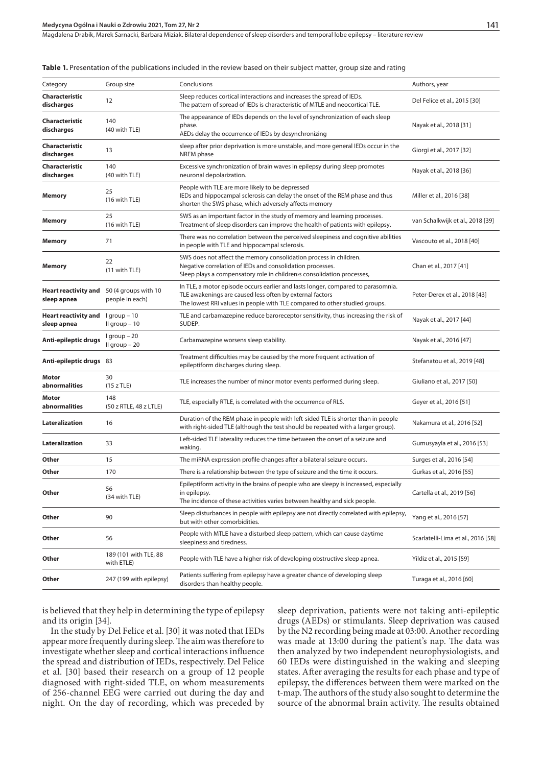Magdalena Drabik, Marek Sarnacki, Barbara Miziak. Bilateral dependence of sleep disorders and temporal lobe epilepsy - literature review

#### **Table 1.** Presentation of the publications included in the review based on their subject matter, group size and rating

| Category                            | Group size                              | Conclusions                                                                                                                                                                                                                | Authors, year                      |
|-------------------------------------|-----------------------------------------|----------------------------------------------------------------------------------------------------------------------------------------------------------------------------------------------------------------------------|------------------------------------|
| Characteristic<br>discharges        | 12                                      | Sleep reduces cortical interactions and increases the spread of IEDs.<br>The pattern of spread of IEDs is characteristic of MTLE and neocortical TLE.                                                                      | Del Felice et al., 2015 [30]       |
| Characteristic<br>discharges        | 140<br>(40 with TLE)                    | The appearance of IEDs depends on the level of synchronization of each sleep<br>phase.<br>AEDs delay the occurrence of IEDs by desynchronizing                                                                             | Nayak et al., 2018 [31]            |
| Characteristic<br>discharges        | 13                                      | sleep after prior deprivation is more unstable, and more general IEDs occur in the<br>NREM phase                                                                                                                           | Giorgi et al., 2017 [32]           |
| <b>Characteristic</b><br>discharges | 140<br>(40 with TLE)                    | Excessive synchronization of brain waves in epilepsy during sleep promotes<br>neuronal depolarization.                                                                                                                     | Nayak et al., 2018 [36]            |
| Memory                              | 25<br>(16 with TLE)                     | People with TLE are more likely to be depressed<br>IEDs and hippocampal sclerosis can delay the onset of the REM phase and thus<br>shorten the SWS phase, which adversely affects memory                                   | Miller et al., 2016 [38]           |
| Memory                              | 25<br>(16 with TLE)                     | SWS as an important factor in the study of memory and learning processes.<br>Treatment of sleep disorders can improve the health of patients with epilepsy.                                                                | van Schalkwijk et al., 2018 [39]   |
| Memory                              | 71                                      | There was no correlation between the perceived sleepiness and cognitive abilities<br>in people with TLE and hippocampal sclerosis.                                                                                         | Vascouto et al., 2018 [40]         |
| Memory                              | 22<br>(11 with TLE)                     | SWS does not affect the memory consolidation process in children.<br>Negative correlation of IEDs and consolidation processes.<br>Sleep plays a compensatory role in children is consolidation processes,                  | Chan et al., 2017 [41]             |
| Heart reactivity and<br>sleep apnea | 50 (4 groups with 10<br>people in each) | In TLE, a motor episode occurs earlier and lasts longer, compared to parasomnia.<br>TLE awakenings are caused less often by external factors<br>The lowest RRI values in people with TLE compared to other studied groups. | Peter-Derex et al., 2018 [43]      |
| Heart reactivity and<br>sleep apnea | $1$ group $-10$<br>Il group $-10$       | TLE and carbamazepine reduce baroreceptor sensitivity, thus increasing the risk of<br>SUDEP.                                                                                                                               | Nayak et al., 2017 [44]            |
| Anti-epileptic drugs                | $lgroup - 20$<br>Il group - 20          | Carbamazepine worsens sleep stability.                                                                                                                                                                                     | Nayak et al., 2016 [47]            |
| Anti-epileptic drugs 83             |                                         | Treatment difficulties may be caused by the more frequent activation of<br>epileptiform discharges during sleep.                                                                                                           | Stefanatou et al., 2019 [48]       |
| Motor<br>abnormalities              | 30<br>(15 z TLE)                        | TLE increases the number of minor motor events performed during sleep.                                                                                                                                                     | Giuliano et al., 2017 [50]         |
| Motor<br>abnormalities              | 148<br>(50 z RTLE, 48 z LTLE)           | TLE, especially RTLE, is correlated with the occurrence of RLS.                                                                                                                                                            | Geyer et al., 2016 [51]            |
| Lateralization                      | 16                                      | Duration of the REM phase in people with left-sided TLE is shorter than in people<br>with right-sided TLE (although the test should be repeated with a larger group).                                                      | Nakamura et al., 2016 [52]         |
| Lateralization                      | 33                                      | Left-sided TLE laterality reduces the time between the onset of a seizure and<br>waking.                                                                                                                                   | Gumusyayla et al., 2016 [53]       |
| Other                               | 15                                      | The miRNA expression profile changes after a bilateral seizure occurs.                                                                                                                                                     | Surges et al., 2016 [54]           |
| Other                               | 170                                     | There is a relationship between the type of seizure and the time it occurs.                                                                                                                                                | Gurkas et al., 2016 [55]           |
| Other                               | 56<br>(34 with TLE)                     | Epileptiform activity in the brains of people who are sleepy is increased, especially<br>in epilepsy.<br>The incidence of these activities varies between healthy and sick people.                                         | Cartella et al., 2019 [56]         |
| Other                               | 90                                      | Sleep disturbances in people with epilepsy are not directly correlated with epilepsy,<br>but with other comorbidities.                                                                                                     | Yang et al., 2016 [57]             |
| Other                               | 56                                      | People with MTLE have a disturbed sleep pattern, which can cause daytime<br>sleepiness and tiredness.                                                                                                                      | Scarlatelli-Lima et al., 2016 [58] |
| Other                               | 189 (101 with TLE, 88<br>with ETLE)     | People with TLE have a higher risk of developing obstructive sleep apnea.                                                                                                                                                  | Yildiz et al., 2015 [59]           |
| Other                               | 247 (199 with epilepsy)                 | Patients suffering from epilepsy have a greater chance of developing sleep<br>disorders than healthy people.                                                                                                               | Turaga et al., 2016 [60]           |

is believed that they help in determining the type of epilepsy and its origin [34].

In the study by Del Felice et al. [30] it was noted that IEDs appear more frequently during sleep. The aim was therefore to investigate whether sleep and cortical interactions influence the spread and distribution of IEDs, respectively. Del Felice et al. [30] based their research on a group of 12 people diagnosed with right-sided TLE, on whom measurements of 256-channel EEG were carried out during the day and night. On the day of recording, which was preceded by sleep deprivation, patients were not taking anti-epileptic drugs (AEDs) or stimulants. Sleep deprivation was caused by the N2 recording being made at 03:00. Another recording was made at 13:00 during the patient's nap. The data was then analyzed by two independent neurophysiologists, and 60 IEDs were distinguished in the waking and sleeping states. After averaging the results for each phase and type of epilepsy, the differences between them were marked on the t-map. The authors of the study also sought to determine the source of the abnormal brain activity. The results obtained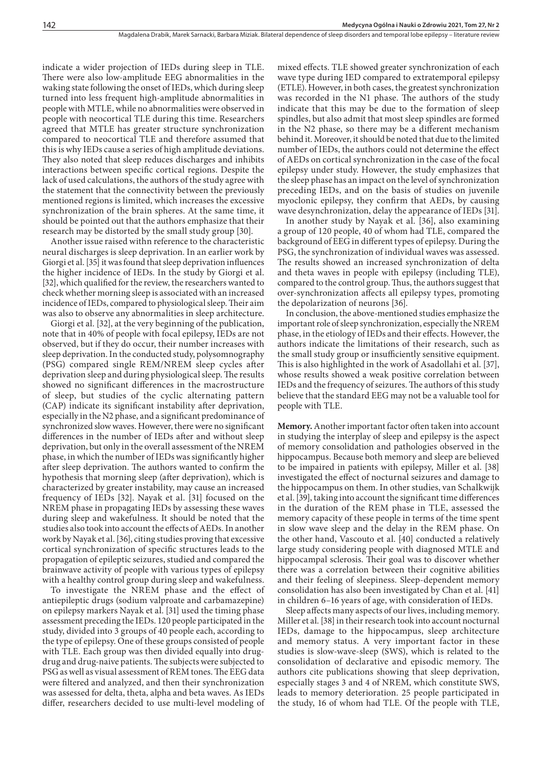indicate a wider projection of IEDs during sleep in TLE. There were also low-amplitude EEG abnormalities in the waking state following the onset of IEDs, which during sleep turned into less frequent high-amplitude abnormalities in people with MTLE, while no abnormalities were observed in people with neocortical TLE during this time. Researchers agreed that MTLE has greater structure synchronization compared to neocortical TLE and therefore assumed that this is why IEDs cause a series of high amplitude deviations. They also noted that sleep reduces discharges and inhibits interactions between specific cortical regions. Despite the lack of used calculations, the authors of the study agree with the statement that the connectivity between the previously mentioned regions is limited, which increases the excessive synchronization of the brain spheres. At the same time, it should be pointed out that the authors emphasize that their research may be distorted by the small study group [30].

Another issue raised withn reference to the characteristic neural discharges is sleep deprivation. In an earlier work by Giorgi et al. [35] it was found that sleep deprivation influences the higher incidence of IEDs. In the study by Giorgi et al. [32], which qualified for the review, the researchers wanted to check whether morning sleep is associated with an increased incidence of IEDs, compared to physiological sleep. Their aim was also to observe any abnormalities in sleep architecture.

Giorgi et al. [32], at the very beginning of the publication, note that in 40% of people with focal epilepsy, IEDs are not observed, but if they do occur, their number increases with sleep deprivation. In the conducted study, polysomnography (PSG) compared single REM/NREM sleep cycles after deprivation sleep and during physiological sleep. The results showed no significant differences in the macrostructure of sleep, but studies of the cyclic alternating pattern (CAP) indicate its significant instability after deprivation, especially in the N2 phase, and a significant predominance of synchronized slow waves. However, there were no significant differences in the number of IEDs after and without sleep deprivation, but only in the overall assessment of the NREM phase, in which the number of IEDs was significantly higher after sleep deprivation. The authors wanted to confirm the hypothesis that morning sleep (after deprivation), which is characterized by greater instability, may cause an increased frequency of IEDs [32]. Nayak et al. [31] focused on the NREM phase in propagating IEDs by assessing these waves during sleep and wakefulness. It should be noted that the studies also took into account the effects of AEDs. In another work by Nayak et al. [36], citing studies proving that excessive cortical synchronization of specific structures leads to the propagation of epileptic seizures, studied and compared the brainwave activity of people with various types of epilepsy with a healthy control group during sleep and wakefulness.

To investigate the NREM phase and the effect of antiepileptic drugs (sodium valproate and carbamazepine) on epilepsy markers Nayak et al. [31] used the timing phase assessment preceding the IEDs. 120 people participated in the study, divided into 3 groups of 40 people each, according to the type of epilepsy. One of these groups consisted of people with TLE. Each group was then divided equally into drugdrug and drug-naive patients. The subjects were subjected to PSG as well as visual assessment of REM tones. The EEG data were filtered and analyzed, and then their synchronization was assessed for delta, theta, alpha and beta waves. As IEDs differ, researchers decided to use multi-level modeling of

mixed effects. TLE showed greater synchronization of each wave type during IED compared to extratemporal epilepsy (ETLE). However, in both cases, the greatest synchronization was recorded in the N1 phase. The authors of the study indicate that this may be due to the formation of sleep spindles, but also admit that most sleep spindles are formed in the N2 phase, so there may be a different mechanism behind it. Moreover, it should be noted that due to the limited number of IEDs, the authors could not determine the effect of AEDs on cortical synchronization in the case of the focal epilepsy under study. However, the study emphasizes that the sleep phase has an impact on the level of synchronization preceding IEDs, and on the basis of studies on juvenile myoclonic epilepsy, they confirm that AEDs, by causing wave desynchronization, delay the appearance of IEDs [31].

In another study by Nayak et al. [36], also examining a group of 120 people, 40 of whom had TLE, compared the background of EEG in different types of epilepsy. During the PSG, the synchronization of individual waves was assessed. The results showed an increased synchronization of delta and theta waves in people with epilepsy (including TLE), compared to the control group. Thus, the authors suggest that over-synchronization affects all epilepsy types, promoting the depolarization of neurons [36].

In conclusion, the above-mentioned studies emphasize the important role of sleep synchronization, especially the NREM phase, in the etiology of IEDs and their effects. However, the authors indicate the limitations of their research, such as the small study group or insufficiently sensitive equipment. This is also highlighted in the work of Asadollahi et al. [37], whose results showed a weak positive correlation between IEDs and the frequency of seizures. The authors of this study believe that the standard EEG may not be a valuable tool for people with TLE.

**Memory.** Another important factor often taken into account in studying the interplay of sleep and epilepsy is the aspect of memory consolidation and pathologies observed in the hippocampus. Because both memory and sleep are believed to be impaired in patients with epilepsy, Miller et al. [38] investigated the effect of nocturnal seizures and damage to the hippocampus on them. In other studies, van Schalkwijk et al. [39], taking into account the significant time differences in the duration of the REM phase in TLE, assessed the memory capacity of these people in terms of the time spent in slow wave sleep and the delay in the REM phase. On the other hand, Vascouto et al. [40] conducted a relatively large study considering people with diagnosed MTLE and hippocampal sclerosis. Their goal was to discover whether there was a correlation between their cognitive abilities and their feeling of sleepiness. Sleep-dependent memory consolidation has also been investigated by Chan et al. [41] in children 6–16 years of age, with consideration of IEDs.

Sleep affects many aspects of our lives, including memory. Miller et al. [38] in their research took into account nocturnal IEDs, damage to the hippocampus, sleep architecture and memory status. A very important factor in these studies is slow-wave-sleep (SWS), which is related to the consolidation of declarative and episodic memory. The authors cite publications showing that sleep deprivation, especially stages 3 and 4 of NREM, which constitute SWS, leads to memory deterioration. 25 people participated in the study, 16 of whom had TLE. Of the people with TLE,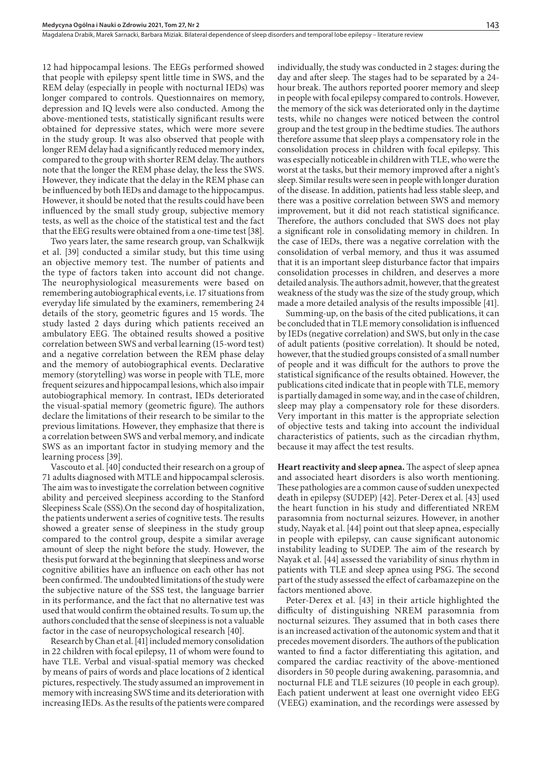12 had hippocampal lesions. The EEGs performed showed that people with epilepsy spent little time in SWS, and the REM delay (especially in people with nocturnal IEDs) was longer compared to controls. Questionnaires on memory, depression and IQ levels were also conducted. Among the above-mentioned tests, statistically significant results were obtained for depressive states, which were more severe in the study group. It was also observed that people with longer REM delay had a significantly reduced memory index, compared to the group with shorter REM delay. The authors note that the longer the REM phase delay, the less the SWS. However, they indicate that the delay in the REM phase can be influenced by both IEDs and damage to the hippocampus. However, it should be noted that the results could have been influenced by the small study group, subjective memory tests, as well as the choice of the statistical test and the fact that the EEG results were obtained from a one-time test [38].

Two years later, the same research group, van Schalkwijk et al. [39] conducted a similar study, but this time using an objective memory test. The number of patients and the type of factors taken into account did not change. The neurophysiological measurements were based on remembering autobiographical events, i.e. 17 situations from everyday life simulated by the examiners, remembering 24 details of the story, geometric figures and 15 words. The study lasted 2 days during which patients received an ambulatory EEG. The obtained results showed a positive correlation between SWS and verbal learning (15-word test) and a negative correlation between the REM phase delay and the memory of autobiographical events. Declarative memory (storytelling) was worse in people with TLE, more frequent seizures and hippocampal lesions, which also impair autobiographical memory. In contrast, IEDs deteriorated the visual-spatial memory (geometric figure). The authors declare the limitations of their research to be similar to the previous limitations. However, they emphasize that there is a correlation between SWS and verbal memory, and indicate SWS as an important factor in studying memory and the learning process [39].

Vascouto et al. [40] conducted their research on a group of 71 adults diagnosed with MTLE and hippocampal sclerosis. The aim was to investigate the correlation between cognitive ability and perceived sleepiness according to the Stanford Sleepiness Scale (SSS).On the second day of hospitalization, the patients underwent a series of cognitive tests. The results showed a greater sense of sleepiness in the study group compared to the control group, despite a similar average amount of sleep the night before the study. However, the thesis put forward at the beginning that sleepiness and worse cognitive abilities have an influence on each other has not been confirmed. The undoubted limitations of the study were the subjective nature of the SSS test, the language barrier in its performance, and the fact that no alternative test was used that would confirm the obtained results. To sum up, the authors concluded that the sense of sleepiness is not a valuable factor in the case of neuropsychological research [40].

Research by Chan et al. [41] included memory consolidation in 22 children with focal epilepsy, 11 of whom were found to have TLE. Verbal and visual-spatial memory was checked by means of pairs of words and place locations of 2 identical pictures, respectively. The study assumed an improvement in memory with increasing SWS time and its deterioration with increasing IEDs. As the results of the patients were compared

individually, the study was conducted in 2 stages: during the day and after sleep. The stages had to be separated by a 24 hour break. The authors reported poorer memory and sleep in people with focal epilepsy compared to controls. However, the memory of the sick was deteriorated only in the daytime tests, while no changes were noticed between the control group and the test group in the bedtime studies. The authors therefore assume that sleep plays a compensatory role in the consolidation process in children with focal epilepsy. This was especially noticeable in children with TLE, who were the worst at the tasks, but their memory improved after a night's sleep. Similar results were seen in people with longer duration of the disease. In addition, patients had less stable sleep, and there was a positive correlation between SWS and memory improvement, but it did not reach statistical significance. Therefore, the authors concluded that SWS does not play a significant role in consolidating memory in children. In the case of IEDs, there was a negative correlation with the consolidation of verbal memory, and thus it was assumed that it is an important sleep disturbance factor that impairs consolidation processes in children, and deserves a more detailed analysis. The authors admit, however, that the greatest weakness of the study was the size of the study group, which made a more detailed analysis of the results impossible [41].

Summing-up, on the basis of the cited publications, it can be concluded that in TLE memory consolidation is influenced by IEDs (negative correlation) and SWS, but only in the case of adult patients (positive correlation). It should be noted, however, that the studied groups consisted of a small number of people and it was difficult for the authors to prove the statistical significance of the results obtained. However, the publications cited indicate that in people with TLE, memory is partially damaged in some way, and in the case of children, sleep may play a compensatory role for these disorders. Very important in this matter is the appropriate selection of objective tests and taking into account the individual characteristics of patients, such as the circadian rhythm, because it may affect the test results.

**Heart reactivity and sleep apnea.** The aspect of sleep apnea and associated heart disorders is also worth mentioning. These pathologies are a common cause of sudden unexpected death in epilepsy (SUDEP) [42]. Peter-Derex et al. [43] used the heart function in his study and differentiated NREM parasomnia from nocturnal seizures. However, in another study, Nayak et al. [44] point out that sleep apnea, especially in people with epilepsy, can cause significant autonomic instability leading to SUDEP. The aim of the research by Nayak et al. [44] assessed the variability of sinus rhythm in patients with TLE and sleep apnea using PSG. The second part of the study assessed the effect of carbamazepine on the factors mentioned above.

Peter-Derex et al. [43] in their article highlighted the difficulty of distinguishing NREM parasomnia from nocturnal seizures. They assumed that in both cases there is an increased activation of the autonomic system and that it precedes movement disorders. The authors of the publication wanted to find a factor differentiating this agitation, and compared the cardiac reactivity of the above-mentioned disorders in 50 people during awakening, parasomnia, and nocturnal FLE and TLE seizures (10 people in each group). Each patient underwent at least one overnight video EEG (VEEG) examination, and the recordings were assessed by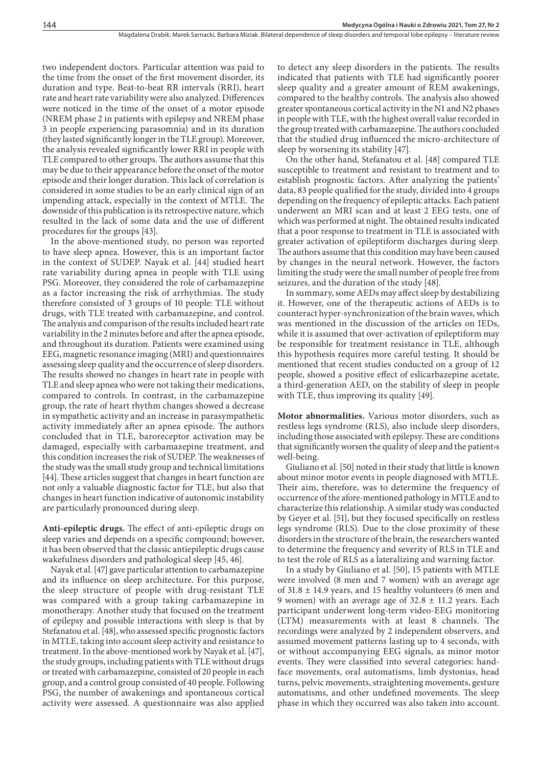two independent doctors. Particular attention was paid to the time from the onset of the first movement disorder, its duration and type. Beat-to-beat RR intervals (RRI), heart rate and heart rate variability were also analyzed. Differences were noticed in the time of the onset of a motor episode (NREM phase 2 in patients with epilepsy and NREM phase 3 in people experiencing parasomnia) and in its duration (they lasted significantly longer in the TLE group). Moreover, the analysis revealed significantly lower RRI in people with TLE compared to other groups. The authors assume that this may be due to their appearance before the onset of the motor episode and their longer duration. This lack of correlation is considered in some studies to be an early clinical sign of an impending attack, especially in the context of MTLE. The downside of this publication is its retrospective nature, which resulted in the lack of some data and the use of different procedures for the groups [43].

In the above-mentioned study, no person was reported to have sleep apnea. However, this is an important factor in the context of SUDEP. Nayak et al. [44] studied heart rate variability during apnea in people with TLE using PSG. Moreover, they considered the role of carbamazepine as a factor increasing the risk of arrhythmias. The study therefore consisted of 3 groups of 10 people: TLE without drugs, with TLE treated with carbamazepine, and control. The analysis and comparison of the results included heart rate variability in the 2 minutes before and after the apnea episode, and throughout its duration. Patients were examined using EEG, magnetic resonance imaging (MRI) and questionnaires assessing sleep quality and the occurrence of sleep disorders. The results showed no changes in heart rate in people with TLE and sleep apnea who were not taking their medications, compared to controls. In contrast, in the carbamazepine group, the rate of heart rhythm changes showed a decrease in sympathetic activity and an increase in parasympathetic activity immediately after an apnea episode. The authors concluded that in TLE, baroreceptor activation may be damaged, especially with carbamazepine treatment, and this condition increases the risk of SUDEP. The weaknesses of the study was the small study group and technical limitations [44]. These articles suggest that changes in heart function are not only a valuable diagnostic factor for TLE, but also that changes in heart function indicative of autonomic instability are particularly pronounced during sleep.

**Anti-epileptic drugs.** The effect of anti-epileptic drugs on sleep varies and depends on a specific compound; however, it has been observed that the classic antiepileptic drugs cause wakefulness disorders and pathological sleep [45, 46].

Nayak et al. [47] gave particular attention to carbamazepine and its influence on sleep architecture. For this purpose, the sleep structure of people with drug-resistant TLE was compared with a group taking carbamazepine in monotherapy. Another study that focused on the treatment of epilepsy and possible interactions with sleep is that by Stefanatou et al. [48], who assessed specific prognostic factors in MTLE, taking into account sleep activity and resistance to treatment. In the above-mentioned work by Nayak et al. [47], the study groups, including patients with TLE without drugs or treated with carbamazepine, consisted of 20 people in each group, and a control group consisted of 40 people. Following PSG, the number of awakenings and spontaneous cortical activity were assessed. A questionnaire was also applied

to detect any sleep disorders in the patients. The results indicated that patients with TLE had significantly poorer sleep quality and a greater amount of REM awakenings, compared to the healthy controls. The analysis also showed greater spontaneous cortical activity in the N1 and N2 phases in people with TLE, with the highest overall value recorded in the group treated with carbamazepine. The authors concluded that the studied drug influenced the micro-architecture of sleep by worsening its stability [47].

On the other hand, Stefanatou et al. [48] compared TLE susceptible to treatment and resistant to treatment and to establish prognostic factors. After analyzing the patients' data, 83 people qualified for the study, divided into 4 groups depending on the frequency of epileptic attacks. Each patient underwent an MRI scan and at least 2 EEG tests, one of which was performed at night. The obtained results indicated that a poor response to treatment in TLE is associated with greater activation of epileptiform discharges during sleep. The authors assume that this condition may have been caused by changes in the neural network. However, the factors limiting the study were the small number of people free from seizures, and the duration of the study [48].

In summary, some AEDs may affect sleep by destabilizing it. However, one of the therapeutic actions of AEDs is to counteract hyper-synchronization of the brain waves, which was mentioned in the discussion of the articles on IEDs, while it is assumed that over-activation of epileptiform may be responsible for treatment resistance in TLE, although this hypothesis requires more careful testing. It should be mentioned that recent studies conducted on a group of 12 people, showed a positive effect of eslicarbazepine acetate, a third-generation AED, on the stability of sleep in people with TLE, thus improving its quality [49].

**Motor abnormalities.** Various motor disorders, such as restless legs syndrome (RLS), also include sleep disorders, including those associated with epilepsy. These are conditions that significantly worsen the quality of sleep and the patient›s well-being.

Giuliano et al. [50] noted in their study that little is known about minor motor events in people diagnosed with MTLE. Their aim, therefore, was to determine the frequency of occurrence of the afore-mentioned pathology in MTLE and to characterize this relationship. A similar study was conducted by Geyer et al. [51], but they focused specifically on restless legs syndrome (RLS). Due to the close proximity of these disorders in the structure of the brain, the researchers wanted to determine the frequency and severity of RLS in TLE and to test the role of RLS as a lateralizing and warning factor.

In a study by Giuliano et al. [50], 15 patients with MTLE were involved (8 men and 7 women) with an average age of  $31.8 \pm 14.9$  years, and 15 healthy volunteers (6 men and 9 women) with an average age of  $32.8 \pm 11.2$  years. Each participant underwent long-term video-EEG monitoring (LTM) measurements with at least 8 channels. The recordings were analyzed by 2 independent observers, and assumed movement patterns lasting up to 4 seconds, with or without accompanying EEG signals, as minor motor events. They were classified into several categories: handface movements, oral automatisms, limb dystonias, head turns, pelvic movements, straightening movements, gesture automatisms, and other undefined movements. The sleep phase in which they occurred was also taken into account.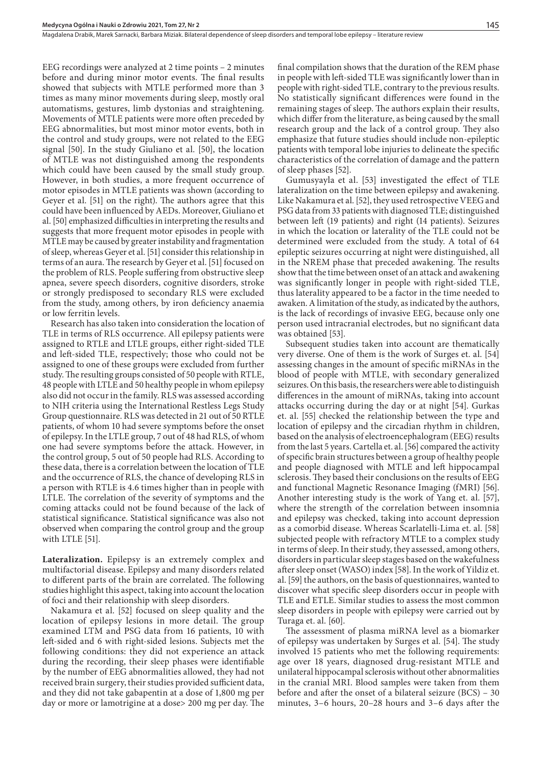EEG recordings were analyzed at 2 time points – 2 minutes before and during minor motor events. The final results showed that subjects with MTLE performed more than 3 times as many minor movements during sleep, mostly oral automatisms, gestures, limb dystonias and straightening. Movements of MTLE patients were more often preceded by EEG abnormalities, but most minor motor events, both in the control and study groups, were not related to the EEG signal [50]. In the study Giuliano et al. [50], the location of MTLE was not distinguished among the respondents which could have been caused by the small study group. However, in both studies, a more frequent occurrence of motor episodes in MTLE patients was shown (according to Geyer et al. [51] on the right). The authors agree that this could have been influenced by AEDs. Moreover, Giuliano et al. [50] emphasized difficulties in interpreting the results and suggests that more frequent motor episodes in people with MTLE may be caused by greater instability and fragmentation of sleep, whereas Geyer et al. [51] consider this relationship in terms of an aura. The research by Geyer et al. [51] focused on the problem of RLS. People suffering from obstructive sleep apnea, severe speech disorders, cognitive disorders, stroke or strongly predisposed to secondary RLS were excluded from the study, among others, by iron deficiency anaemia or low ferritin levels.

Research has also taken into consideration the location of TLE in terms of RLS occurrence. All epilepsy patients were assigned to RTLE and LTLE groups, either right-sided TLE and left-sided TLE, respectively; those who could not be assigned to one of these groups were excluded from further study. The resulting groups consisted of 50 people with RTLE, 48 people with LTLE and 50 healthy people in whom epilepsy also did not occur in the family. RLS was assessed according to NIH criteria using the International Restless Legs Study Group questionnaire. RLS was detected in 21 out of 50 RTLE patients, of whom 10 had severe symptoms before the onset of epilepsy. In the LTLE group, 7 out of 48 had RLS, of whom one had severe symptoms before the attack. However, in the control group, 5 out of 50 people had RLS. According to these data, there is a correlation between the location of TLE and the occurrence of RLS, the chance of developing RLS in a person with RTLE is 4.6 times higher than in people with LTLE. The correlation of the severity of symptoms and the coming attacks could not be found because of the lack of statistical significance. Statistical significance was also not observed when comparing the control group and the group with LTLE [51].

**Lateralization.** Epilepsy is an extremely complex and multifactorial disease. Epilepsy and many disorders related to different parts of the brain are correlated. The following studies highlight this aspect, taking into account the location of foci and their relationship with sleep disorders.

Nakamura et al. [52] focused on sleep quality and the location of epilepsy lesions in more detail. The group examined LTM and PSG data from 16 patients, 10 with left-sided and 6 with right-sided lesions. Subjects met the following conditions: they did not experience an attack during the recording, their sleep phases were identifiable by the number of EEG abnormalities allowed, they had not received brain surgery, their studies provided sufficient data, and they did not take gabapentin at a dose of 1,800 mg per day or more or lamotrigine at a dose> 200 mg per day. The

final compilation shows that the duration of the REM phase in people with left-sided TLE was significantly lower than in people with right-sided TLE, contrary to the previous results. No statistically significant differences were found in the remaining stages of sleep. The authors explain their results, which differ from the literature, as being caused by the small research group and the lack of a control group. They also emphasize that future studies should include non-epileptic patients with temporal lobe injuries to delineate the specific characteristics of the correlation of damage and the pattern of sleep phases [52].

Gumusyayla et al. [53] investigated the effect of TLE lateralization on the time between epilepsy and awakening. Like Nakamura et al. [52], they used retrospective VEEG and PSG data from 33 patients with diagnosed TLE; distinguished between left (19 patients) and right (14 patients). Seizures in which the location or laterality of the TLE could not be determined were excluded from the study. A total of 64 epileptic seizures occurring at night were distinguished, all in the NREM phase that preceded awakening. The results show that the time between onset of an attack and awakening was significantly longer in people with right-sided TLE, thus laterality appeared to be a factor in the time needed to awaken. A limitation of the study, as indicated by the authors, is the lack of recordings of invasive EEG, because only one person used intracranial electrodes, but no significant data was obtained [53].

Subsequent studies taken into account are thematically very diverse. One of them is the work of Surges et. al. [54] assessing changes in the amount of specific miRNAs in the blood of people with MTLE, with secondary generalized seizures. On this basis, the researchers were able to distinguish differences in the amount of miRNAs, taking into account attacks occurring during the day or at night [54]. Gurkas et. al. [55] checked the relationship between the type and location of epilepsy and the circadian rhythm in children, based on the analysis of electroencephalogram (EEG) results from the last 5 years. Cartella et. al. [56] compared the activity of specific brain structures between a group of healthy people and people diagnosed with MTLE and left hippocampal sclerosis. They based their conclusions on the results of EEG and functional Magnetic Resonance Imaging (fMRI) [56]. Another interesting study is the work of Yang et. al. [57], where the strength of the correlation between insomnia and epilepsy was checked, taking into account depression as a comorbid disease. Whereas Scarlatelli-Lima et. al. [58] subjected people with refractory MTLE to a complex study in terms of sleep. In their study, they assessed, among others, disorders in particular sleep stages based on the wakefulness after sleep onset (WASO) index [58]. In the work of Yildiz et. al. [59] the authors, on the basis of questionnaires, wanted to discover what specific sleep disorders occur in people with TLE and ETLE. Similar studies to assess the most common sleep disorders in people with epilepsy were carried out by Turaga et. al. [60].

The assessment of plasma miRNA level as a biomarker of epilepsy was undertaken by Surges et al. [54]. The study involved 15 patients who met the following requirements: age over 18 years, diagnosed drug-resistant MTLE and unilateral hippocampal sclerosis without other abnormalities in the cranial MRI. Blood samples were taken from them before and after the onset of a bilateral seizure (BCS) – 30 minutes, 3–6 hours, 20–28 hours and 3–6 days after the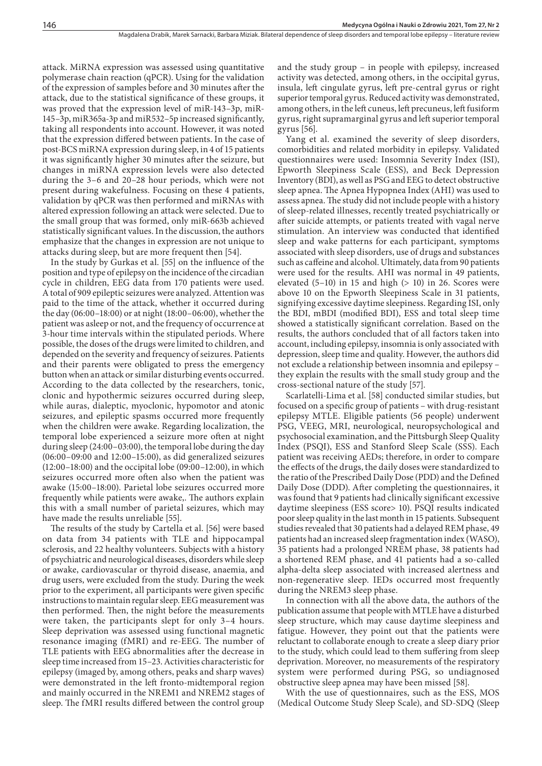attack. MiRNA expression was assessed using quantitative polymerase chain reaction (qPCR). Using for the validation of the expression of samples before and 30 minutes after the attack, due to the statistical significance of these groups, it was proved that the expression level of miR-143–3p, miR-145–3p, miR365a-3p and miR532–5p increased significantly, taking all respondents into account. However, it was noted that the expression differed between patients. In the case of post-BCS miRNA expression during sleep, in 4 of 15 patients it was significantly higher 30 minutes after the seizure, but changes in miRNA expression levels were also detected during the 3–6 and 20–28 hour periods, which were not present during wakefulness. Focusing on these 4 patients, validation by qPCR was then performed and miRNAs with altered expression following an attack were selected. Due to the small group that was formed, only miR-663b achieved statistically significant values. In the discussion, the authors emphasize that the changes in expression are not unique to attacks during sleep, but are more frequent then [54].

In the study by Gurkas et al. [55] on the influence of the position and type of epilepsy on the incidence of the circadian cycle in children, EEG data from 170 patients were used. A total of 909 epileptic seizures were analyzed. Attention was paid to the time of the attack, whether it occurred during the day (06:00–18:00) or at night (18:00–06:00), whether the patient was asleep or not, and the frequency of occurrence at 3-hour time intervals within the stipulated periods. Where possible, the doses of the drugs were limited to children, and depended on the severity and frequency of seizures. Patients and their parents were obligated to press the emergency button when an attack or similar disturbing events occurred. According to the data collected by the researchers, tonic, clonic and hypothermic seizures occurred during sleep, while auras, dialeptic, myoclonic, hypomotor and atonic seizures, and epileptic spasms occurred more frequently when the children were awake. Regarding localization, the temporal lobe experienced a seizure more often at night during sleep (24:00–03:00), the temporal lobe during the day (06:00–09:00 and 12:00–15:00), as did generalized seizures (12:00–18:00) and the occipital lobe (09:00–12:00), in which seizures occurred more often also when the patient was awake (15:00–18:00). Parietal lobe seizures occurred more frequently while patients were awake,. The authors explain this with a small number of parietal seizures, which may have made the results unreliable [55].

The results of the study by Cartella et al. [56] were based on data from 34 patients with TLE and hippocampal sclerosis, and 22 healthy volunteers. Subjects with a history of psychiatric and neurological diseases, disorders while sleep or awake, cardiovascular or thyroid disease, anaemia, and drug users, were excluded from the study. During the week prior to the experiment, all participants were given specific instructions to maintain regular sleep. EEG measurement was then performed. Then, the night before the measurements were taken, the participants slept for only 3–4 hours. Sleep deprivation was assessed using functional magnetic resonance imaging (fMRI) and re-EEG. The number of TLE patients with EEG abnormalities after the decrease in sleep time increased from 15–23. Activities characteristic for epilepsy (imaged by, among others, peaks and sharp waves) were demonstrated in the left fronto-midtemporal region and mainly occurred in the NREM1 and NREM2 stages of sleep. The fMRI results differed between the control group

and the study group – in people with epilepsy, increased activity was detected, among others, in the occipital gyrus, insula, left cingulate gyrus, left pre-central gyrus or right superior temporal gyrus. Reduced activity was demonstrated, among others, in the left cuneus, left precuneus, left fusiform gyrus, right supramarginal gyrus and left superior temporal gyrus [56].

Yang et al. examined the severity of sleep disorders, comorbidities and related morbidity in epilepsy. Validated questionnaires were used: Insomnia Severity Index (ISI), Epworth Sleepiness Scale (ESS), and Beck Depression Inventory (BDI), as well as PSG and EEG to detect obstructive sleep apnea. The Apnea Hypopnea Index (AHI) was used to assess apnea. The study did not include people with a history of sleep-related illnesses, recently treated psychiatrically or after suicide attempts, or patients treated with vagal nerve stimulation. An interview was conducted that identified sleep and wake patterns for each participant, symptoms associated with sleep disorders, use of drugs and substances such as caffeine and alcohol. Ultimately, data from 90 patients were used for the results. AHI was normal in 49 patients, elevated  $(5-10)$  in 15 and high  $(> 10)$  in 26. Scores were above 10 on the Epworth Sleepiness Scale in 31 patients, signifying excessive daytime sleepiness. Regarding ISI, only the BDI, mBDI (modified BDI), ESS and total sleep time showed a statistically significant correlation. Based on the results, the authors concluded that of all factors taken into account, including epilepsy, insomnia is only associated with depression, sleep time and quality. However, the authors did not exclude a relationship between insomnia and epilepsy – they explain the results with the small study group and the cross-sectional nature of the study [57].

Scarlatelli-Lima et al. [58] conducted similar studies, but focused on a specific group of patients – with drug-resistant epilepsy MTLE. Eligible patients (56 people) underwent PSG, VEEG, MRI, neurological, neuropsychological and psychosocial examination, and the Pittsburgh Sleep Quality Index (PSQI), ESS and Stanford Sleep Scale (SSS). Each patient was receiving AEDs; therefore, in order to compare the effects of the drugs, the daily doses were standardized to the ratio of the Prescribed Daily Dose (PDD) and the Defined Daily Dose (DDD). After completing the questionnaires, it was found that 9 patients had clinically significant excessive daytime sleepiness (ESS score> 10). PSQI results indicated poor sleep quality in the last month in 15 patients. Subsequent studies revealed that 30 patients had a delayed REM phase, 49 patients had an increased sleep fragmentation index (WASO), 35 patients had a prolonged NREM phase, 38 patients had a shortened REM phase, and 41 patients had a so-called alpha-delta sleep associated with increased alertness and non-regenerative sleep. IEDs occurred most frequently during the NREM3 sleep phase.

In connection with all the above data, the authors of the publication assume that people with MTLE have a disturbed sleep structure, which may cause daytime sleepiness and fatigue. However, they point out that the patients were reluctant to collaborate enough to create a sleep diary prior to the study, which could lead to them suffering from sleep deprivation. Moreover, no measurements of the respiratory system were performed during PSG, so undiagnosed obstructive sleep apnea may have been missed [58].

With the use of questionnaires, such as the ESS, MOS (Medical Outcome Study Sleep Scale), and SD-SDQ (Sleep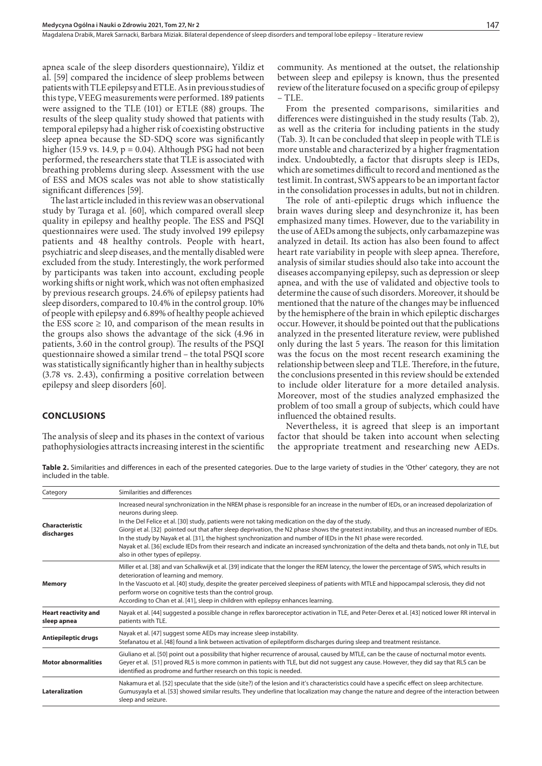apnea scale of the sleep disorders questionnaire), Yildiz et al. [59] compared the incidence of sleep problems between patients with TLE epilepsy and ETLE. As in previous studies of this type, VEEG measurements were performed. 189 patients were assigned to the TLE (101) or ETLE (88) groups. The results of the sleep quality study showed that patients with temporal epilepsy had a higher risk of coexisting obstructive sleep apnea because the SD-SDQ score was significantly higher (15.9 vs. 14.9,  $p = 0.04$ ). Although PSG had not been performed, the researchers state that TLE is associated with breathing problems during sleep. Assessment with the use of ESS and MOS scales was not able to show statistically significant differences [59].

The last article included in this review was an observational study by Turaga et al. [60], which compared overall sleep quality in epilepsy and healthy people. The ESS and PSQI questionnaires were used. The study involved 199 epilepsy patients and 48 healthy controls. People with heart, psychiatric and sleep diseases, and the mentally disabled were excluded from the study. Interestingly, the work performed by participants was taken into account, excluding people working shifts or night work, which was not often emphasized by previous research groups. 24.6% of epilepsy patients had sleep disorders, compared to 10.4% in the control group. 10% of people with epilepsy and 6.89% of healthy people achieved the ESS score  $\geq$  10, and comparison of the mean results in the groups also shows the advantage of the sick (4.96 in patients, 3.60 in the control group). The results of the PSQI questionnaire showed a similar trend – the total PSQI score was statistically significantly higher than in healthy subjects (3.78 vs. 2.43), confirming a positive correlation between epilepsy and sleep disorders [60].

#### **CONCLUSIONS**

The analysis of sleep and its phases in the context of various pathophysiologies attracts increasing interest in the scientific community. As mentioned at the outset, the relationship between sleep and epilepsy is known, thus the presented review of the literature focused on a specific group of epilepsy  $-$  TLE.

From the presented comparisons, similarities and differences were distinguished in the study results (Tab. 2), as well as the criteria for including patients in the study (Tab. 3). It can be concluded that sleep in people with TLE is more unstable and characterized by a higher fragmentation index. Undoubtedly, a factor that disrupts sleep is IEDs, which are sometimes difficult to record and mentioned as the test limit. In contrast, SWS appears to be an important factor in the consolidation processes in adults, but not in children.

The role of anti-epileptic drugs which influence the brain waves during sleep and desynchronize it, has been emphasized many times. However, due to the variability in the use of AEDs among the subjects, only carbamazepine was analyzed in detail. Its action has also been found to affect heart rate variability in people with sleep apnea. Therefore, analysis of similar studies should also take into account the diseases accompanying epilepsy, such as depression or sleep apnea, and with the use of validated and objective tools to determine the cause of such disorders. Moreover, it should be mentioned that the nature of the changes may be influenced by the hemisphere of the brain in which epileptic discharges occur. However, it should be pointed out that the publications analyzed in the presented literature review, were published only during the last 5 years. The reason for this limitation was the focus on the most recent research examining the relationship between sleep and TLE. Therefore, in the future, the conclusions presented in this review should be extended to include older literature for a more detailed analysis. Moreover, most of the studies analyzed emphasized the problem of too small a group of subjects, which could have influenced the obtained results.

Nevertheless, it is agreed that sleep is an important factor that should be taken into account when selecting the appropriate treatment and researching new AEDs.

**Table 2.** Similarities and differences in each of the presented categories. Due to the large variety of studies in the 'Other' category, they are not included in the table.

| Category                                   | Similarities and differences                                                                                                                                                                                                                                                                                                                                                                                                                                                                                                                                                                                                                                                                                                           |  |
|--------------------------------------------|----------------------------------------------------------------------------------------------------------------------------------------------------------------------------------------------------------------------------------------------------------------------------------------------------------------------------------------------------------------------------------------------------------------------------------------------------------------------------------------------------------------------------------------------------------------------------------------------------------------------------------------------------------------------------------------------------------------------------------------|--|
| Characteristic<br>discharges               | Increased neural synchronization in the NREM phase is responsible for an increase in the number of IEDs, or an increased depolarization of<br>neurons during sleep.<br>In the Del Felice et al. [30] study, patients were not taking medication on the day of the study.<br>Giorgi et al. [32] pointed out that after sleep deprivation, the N2 phase shows the greatest instability, and thus an increased number of IEDs.<br>In the study by Nayak et al. [31], the highest synchronization and number of IEDs in the N1 phase were recorded.<br>Nayak et al. [36] exclude IEDs from their research and indicate an increased synchronization of the delta and theta bands, not only in TLE, but<br>also in other types of epilepsy. |  |
| <b>Memory</b>                              | Miller et al. [38] and van Schalkwijk et al. [39] indicate that the longer the REM latency, the lower the percentage of SWS, which results in<br>deterioration of learning and memory.<br>In the Vascuoto et al. [40] study, despite the greater perceived sleepiness of patients with MTLE and hippocampal sclerosis, they did not<br>perform worse on cognitive tests than the control group.<br>According to Chan et al. [41], sleep in children with epilepsy enhances learning.                                                                                                                                                                                                                                                   |  |
| <b>Heart reactivity and</b><br>sleep apnea | Nayak et al. [44] suggested a possible change in reflex baroreceptor activation in TLE, and Peter-Derex et al. [43] noticed lower RR interval in<br>patients with TLE.                                                                                                                                                                                                                                                                                                                                                                                                                                                                                                                                                                 |  |
| Antiepileptic drugs                        | Nayak et al. [47] suggest some AEDs may increase sleep instability.<br>Stefanatou et al. [48] found a link between activation of epileptiform discharges during sleep and treatment resistance.                                                                                                                                                                                                                                                                                                                                                                                                                                                                                                                                        |  |
| <b>Motor abnormalities</b>                 | Giuliano et al. [50] point out a possibility that higher recurrence of arousal, caused by MTLE, can be the cause of nocturnal motor events.<br>Geyer et al. [51] proved RLS is more common in patients with TLE, but did not suggest any cause. However, they did say that RLS can be<br>identified as prodrome and further research on this topic is needed.                                                                                                                                                                                                                                                                                                                                                                          |  |
| Lateralization                             | Nakamura et al. [52] speculate that the side (site?) of the lesion and it's characteristics could have a specific effect on sleep architecture.<br>Gumusyayla et al. [53] showed similar results. They underline that localization may change the nature and degree of the interaction between<br>sleep and seizure.                                                                                                                                                                                                                                                                                                                                                                                                                   |  |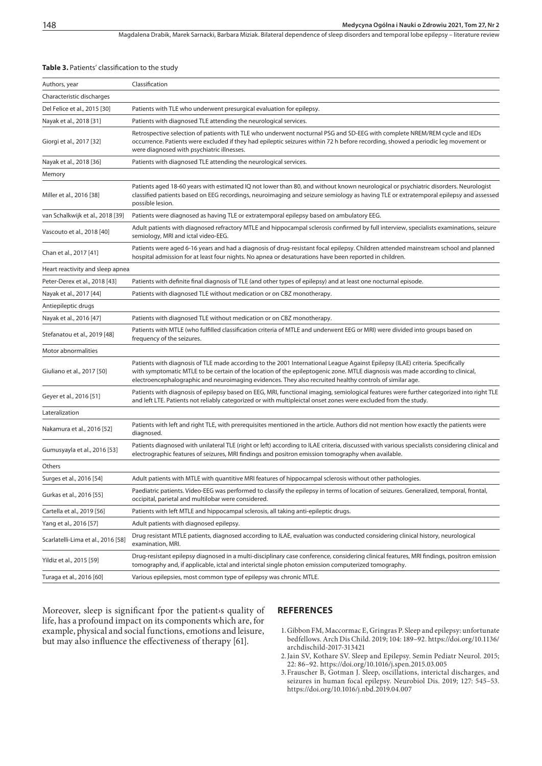Magdalena Drabik, Marek Sarnacki, Barbara Miziak. Bilateral dependence of sleep disorders and temporal lobe epilepsy – literature review

#### **Table 3.** Patients' classification to the study

| Authors, year                      | Classification                                                                                                                                                                                                                                                                                                                                                             |  |
|------------------------------------|----------------------------------------------------------------------------------------------------------------------------------------------------------------------------------------------------------------------------------------------------------------------------------------------------------------------------------------------------------------------------|--|
| Characteristic discharges          |                                                                                                                                                                                                                                                                                                                                                                            |  |
| Del Felice et al., 2015 [30]       | Patients with TLE who underwent presurgical evaluation for epilepsy.                                                                                                                                                                                                                                                                                                       |  |
| Nayak et al., 2018 [31]            | Patients with diagnosed TLE attending the neurological services.                                                                                                                                                                                                                                                                                                           |  |
| Giorgi et al., 2017 [32]           | Retrospective selection of patients with TLE who underwent nocturnal PSG and SD-EEG with complete NREM/REM cycle and IEDs<br>occurrence. Patients were excluded if they had epileptic seizures within 72 h before recording, showed a periodic leg movement or<br>were diagnosed with psychiatric illnesses.                                                               |  |
| Nayak et al., 2018 [36]            | Patients with diagnosed TLE attending the neurological services.                                                                                                                                                                                                                                                                                                           |  |
| Memory                             |                                                                                                                                                                                                                                                                                                                                                                            |  |
| Miller et al., 2016 [38]           | Patients aged 18-60 years with estimated IQ not lower than 80, and without known neurological or psychiatric disorders. Neurologist<br>classified patients based on EEG recordings, neuroimaging and seizure semiology as having TLE or extratemporal epilepsy and assessed<br>possible lesion.                                                                            |  |
| van Schalkwijk et al., 2018 [39]   | Patients were diagnosed as having TLE or extratemporal epilepsy based on ambulatory EEG.                                                                                                                                                                                                                                                                                   |  |
| Vascouto et al., 2018 [40]         | Adult patients with diagnosed refractory MTLE and hippocampal sclerosis confirmed by full interview, specialists examinations, seizure<br>semiology, MRI and ictal video-EEG.                                                                                                                                                                                              |  |
| Chan et al., 2017 [41]             | Patients were aged 6-16 years and had a diagnosis of drug-resistant focal epilepsy. Children attended mainstream school and planned<br>hospital admission for at least four nights. No apnea or desaturations have been reported in children.                                                                                                                              |  |
| Heart reactivity and sleep apnea   |                                                                                                                                                                                                                                                                                                                                                                            |  |
| Peter-Derex et al., 2018 [43]      | Patients with definite final diagnosis of TLE (and other types of epilepsy) and at least one nocturnal episode.                                                                                                                                                                                                                                                            |  |
| Nayak et al., 2017 [44]            | Patients with diagnosed TLE without medication or on CBZ monotherapy.                                                                                                                                                                                                                                                                                                      |  |
| Antiepileptic drugs                |                                                                                                                                                                                                                                                                                                                                                                            |  |
| Nayak et al., 2016 [47]            | Patients with diagnosed TLE without medication or on CBZ monotherapy.                                                                                                                                                                                                                                                                                                      |  |
| Stefanatou et al., 2019 [48]       | Patients with MTLE (who fulfilled classification criteria of MTLE and underwent EEG or MRI) were divided into groups based on<br>frequency of the seizures.                                                                                                                                                                                                                |  |
| Motor abnormalities                |                                                                                                                                                                                                                                                                                                                                                                            |  |
| Giuliano et al., 2017 [50]         | Patients with diagnosis of TLE made according to the 2001 International League Against Epilepsy (ILAE) criteria. Specifically<br>with symptomatic MTLE to be certain of the location of the epileptogenic zone. MTLE diagnosis was made according to clinical,<br>electroencephalographic and neuroimaging evidences. They also recruited healthy controls of similar age. |  |
| Geyer et al., 2016 [51]            | Patients with diagnosis of epilepsy based on EEG, MRI, functional imaging, semiological features were further categorized into right TLE<br>and left LTE. Patients not reliably categorized or with multipleictal onset zones were excluded from the study.                                                                                                                |  |
| Lateralization                     |                                                                                                                                                                                                                                                                                                                                                                            |  |
| Nakamura et al., 2016 [52]         | Patients with left and right TLE, with prerequisites mentioned in the article. Authors did not mention how exactly the patients were<br>diagnosed.                                                                                                                                                                                                                         |  |
| Gumusyayla et al., 2016 [53]       | Patients diagnosed with unilateral TLE (right or left) according to ILAE criteria, discussed with various specialists considering clinical and<br>electrographic features of seizures, MRI findings and positron emission tomography when available.                                                                                                                       |  |
| Others                             |                                                                                                                                                                                                                                                                                                                                                                            |  |
| Surges et al., 2016 [54]           | Adult patients with MTLE with quantitive MRI features of hippocampal sclerosis without other pathologies.                                                                                                                                                                                                                                                                  |  |
| Gurkas et al., 2016 [55]           | Paediatric patients. Video-EEG was performed to classify the epilepsy in terms of location of seizures. Generalized, temporal, frontal,<br>occipital, parietal and multilobar were considered.                                                                                                                                                                             |  |
| Cartella et al., 2019 [56]         | Patients with left MTLE and hippocampal sclerosis, all taking anti-epileptic drugs.                                                                                                                                                                                                                                                                                        |  |
| Yang et al., 2016 [57]             | Adult patients with diagnosed epilepsy.                                                                                                                                                                                                                                                                                                                                    |  |
| Scarlatelli-Lima et al., 2016 [58] | Drug resistant MTLE patients, diagnosed according to ILAE, evaluation was conducted considering clinical history, neurological<br>examination, MRI.                                                                                                                                                                                                                        |  |
| Yildiz et al., 2015 [59]           | Drug-resistant epilepsy diagnosed in a multi-disciplinary case conference, considering clinical features, MRI findings, positron emission<br>tomography and, if applicable, ictal and interictal single photon emission computerized tomography.                                                                                                                           |  |
| Turaga et al., 2016 [60]           | Various epilepsies, most common type of epilepsy was chronic MTLE.                                                                                                                                                                                                                                                                                                         |  |

Moreover, sleep is significant fpor the patient s quality of life, has a profound impact on its components which are, for example, physical and social functions, emotions and leisure, but may also influence the effectiveness of therapy [61].

## **REFERENCES**

- 1.Gibbon FM, Maccormac E, Gringras P. Sleep and epilepsy: unfortunate bedfellows. Arch Dis Child. 2019; 104: 189–92. https://doi.org/10.1136/ archdischild-2017-313421
- 2.Jain SV, Kothare SV. Sleep and Epilepsy. Semin Pediatr Neurol. 2015; 22: 86–92. https://doi.org/10.1016/j.spen.2015.03.005
- 3.Frauscher B, Gotman J. Sleep, oscillations, interictal discharges, and seizures in human focal epilepsy. Neurobiol Dis. 2019; 127: 545–53. https://doi.org/10.1016/j.nbd.2019.04.007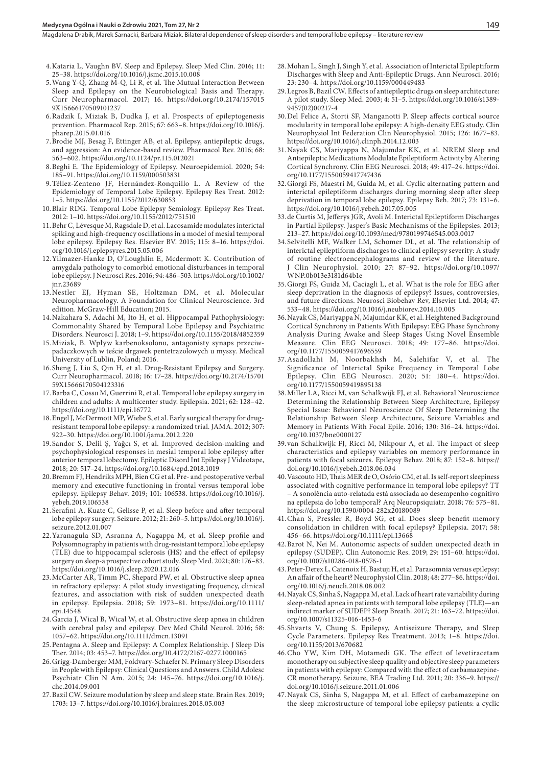- 4.Kataria L, Vaughn BV. Sleep and Epilepsy. Sleep Med Clin. 2016; 11: 25–38. https://doi.org/10.1016/j.jsmc.2015.10.008
- 5.Wang Y-Q, Zhang M-Q, Li R, et al. The Mutual Interaction Between Sleep and Epilepsy on the Neurobiological Basis and Therapy. Curr Neuropharmacol. 2017; 16. https://doi.org/10.2174/157015 9X15666170509101237
- 6.Radzik I, Miziak B, Dudka J, et al. Prospects of epileptogenesis prevention. Pharmacol Rep. 2015; 67: 663–8. https://doi.org/10.1016/j. pharep.2015.01.016
- 7.Brodie MJ, Besag F, Ettinger AB, et al. Epilepsy, antiepileptic drugs, and aggression: An evidence-based review. Pharmacol Rev. 2016; 68: 563–602. https://doi.org/10.1124/pr.115.012021
- 8.Beghi E. The Epidemiology of Epilepsy. Neuroepidemiol. 2020; 54: 185–91. https://doi.org/10.1159/000503831
- 9.Téllez-Zenteno JF, Hernández-Ronquillo L. A Review of the Epidemiology of Temporal Lobe Epilepsy. Epilepsy Res Treat. 2012: 1–5. https://doi.org/10.1155/2012/630853
- 10.Blair RDG. Temporal Lobe Epilepsy Semiology. Epilepsy Res Treat. 2012: 1–10. https://doi.org/10.1155/2012/751510
- 11.Behr C, Lévesque M, Ragsdale D, et al. Lacosamide modulates interictal spiking and high-frequency oscillations in a model of mesial temporal lobe epilepsy. Epilepsy Res. Elsevier BV. 2015; 115: 8–16. https://doi. org/10.1016/j.eplepsyres.2015.05.006
- 12.Yilmazer-Hanke D, O'Loughlin E, Mcdermott K. Contribution of amygdala pathology to comorbid emotional disturbances in temporal lobe epilepsy. J Neurosci Res. 2016; 94: 486–503. https://doi.org/10.1002/ jnr.23689
- 13.Nestler EJ, Hyman SE, Holtzman DM, et al. Molecular Neuropharmacology. A Foundation for Clinical Neuroscience. 3rd edition. McGraw-Hill Education; 2015.
- 14.Nakahara S, Adachi M, Ito H, et al. Hippocampal Pathophysiology: Commonality Shared by Temporal Lobe Epilepsy and Psychiatric Disorders. Neurosci J. 2018; 1–9. https://doi.org/10.1155/2018/4852359
- 15.Miziak, B. Wpływ karbenoksolonu, antagonisty synaps przeciwpadaczkowych w teście drgawek pentetrazolowych u myszy. Medical University of Lublin, Poland; 2016.
- 16.Sheng J, Liu S, Qin H, et al. Drug-Resistant Epilepsy and Surgery. Curr Neuropharmacol. 2018; 16: 17–28. https://doi.org/10.2174/15701 59X15666170504123316
- 17.Barba C, Cossu M, Guerrini R, et al. Temporal lobe epilepsy surgery in children and adults: A multicenter study. Epilepsia. 2021; 62: 128–42. https://doi.org/10.1111/epi.16772
- 18.Engel J, McDermott MP, Wiebe S, et al. Early surgical therapy for drugresistant temporal lobe epilepsy: a randomized trial. JAMA. 2012; 307: 922–30. https://doi.org/10.1001/jama.2012.220
- 19.Sandor S, Delil Ş, Yağcı S, et al. Improved decision-making and psychophysiological responses in mesial temporal lobe epilepsy after anterior temporal lobectomy. Epileptic Disord Int Epilepsy J Videotape, 2018; 20: 517–24. https://doi.org/10.1684/epd.2018.1019
- 20.Bremm FJ, Hendriks MPH, Bien CG et al. Pre- and postoperative verbal memory and executive functioning in frontal versus temporal lobe epilepsy. Epilepsy Behav. 2019; 101: 106538. https://doi.org/10.1016/j. yebeh.2019.106538
- 21.Serafini A, Kuate C, Gelisse P, et al. Sleep before and after temporal lobe epilepsy surgery. Seizure. 2012; 21: 260–5. https://doi.org/10.1016/j. seizure.2012.01.007
- 22.Yaranagula SD, Asranna A, Nagappa M, et al. Sleep profile and Polysomnography in patients with drug-resistant temporal lobe epilepsy (TLE) due to hippocampal sclerosis (HS) and the effect of epilepsy surgery on sleep-a prospective cohort study. Sleep Med. 2021; 80: 176–83. https://doi.org/10.1016/j.sleep.2020.12.016
- 23.McCarter AR, Timm PC, Shepard PW, et al. Obstructive sleep apnea in refractory epilepsy: A pilot study investigating frequency, clinical features, and association with risk of sudden unexpected death in epilepsy. Epilepsia. 2018; 59: 1973–81. https://doi.org/10.1111/ epi.14548
- 24.Garcia J, Wical B, Wical W, et al. Obstructive sleep apnea in children with cerebral palsy and epilepsy. Dev Med Child Neurol. 2016; 58: 1057–62. https://doi.org/10.1111/dmcn.13091
- 25.Pentagna A. Sleep and Epilepsy: A Complex Relationship. J Sleep Dis Ther. 2014; 03: 453–7. https://doi.org/10.4172/2167-0277.1000165
- 26.Grigg-Damberger MM, Foldvary-Schaefer N. Primary Sleep Disorders in People with Epilepsy: Clinical Questions and Answers. Child Adolesc Psychiatr Clin N Am. 2015; 24: 145–76. https://doi.org/10.1016/j. chc.2014.09.001
- 27.Bazil CW. Seizure modulation by sleep and sleep state. Brain Res. 2019; 1703: 13–7. https://doi.org/10.1016/j.brainres.2018.05.003
- 28.Mohan L, Singh J, Singh Y, et al. Association of Interictal Epileptiform Discharges with Sleep and Anti-Epileptic Drugs. Ann Neurosci. 2016; 23: 230–4. https://doi.org/10.1159/000449483
- 29.Legros B, Bazil CW. Effects of antiepileptic drugs on sleep architecture: A pilot study. Sleep Med. 2003; 4: 51–5. https://doi.org/10.1016/s1389- 9457(02)00217-4
- 30.Del Felice A, Storti SF, Manganotti P. Sleep affects cortical source modularity in temporal lobe epilepsy: A high-density EEG study. Clin Neurophysiol Int Federation Clin Neurophysiol. 2015; 126: 1677–83. https://doi.org/10.1016/j.clinph.2014.12.003
- 31.Nayak CS, Mariyappa N, Majumdar KK, et al. NREM Sleep and Antiepileptic Medications Modulate Epileptiform Activity by Altering Cortical Synchrony. Clin EEG Neurosci. 2018; 49: 417–24. https://doi. org/10.1177/1550059417747436
- 32.Giorgi FS, Maestri M, Guida M, et al. Cyclic alternating pattern and interictal epileptiform discharges during morning sleep after sleep deprivation in temporal lobe epilepsy. Epilepsy Beh. 2017; 73: 131–6. https://doi.org/10.1016/j.yebeh.2017.05.005
- 33.de Curtis M, Jefferys JGR, Avoli M. Interictal Epileptiform Discharges in Partial Epilepsy. Jasper's Basic Mechanisms of the Epilepsies. 2013; 213–27. https://doi.org/10.1093/med/9780199746545.003.0017
- 34.Selvitelli MF, Walker LM, Schomer DL, et al. The relationship of interictal epileptiform discharges to clinical epilepsy severity: A study of routine electroencephalograms and review of the literature. J Clin Neurophysiol. 2010; 27: 87–92. https://doi.org/10.1097/ WNP.0b013e3181d64b1e
- 35.Giorgi FS, Guida M, Caciagli L, et al. What is the role for EEG after sleep deprivation in the diagnosis of epilepsy? Issues, controversies, and future directions. Neurosci Biobehav Rev, Elsevier Ltd. 2014; 47: 533–48. https://doi.org/10.1016/j.neubiorev.2014.10.005
- 36.Nayak CS, Mariyappa N, Majumdar KK, et al. Heightened Background Cortical Synchrony in Patients With Epilepsy: EEG Phase Synchrony Analysis During Awake and Sleep Stages Using Novel Ensemble Measure. Clin EEG Neurosci. 2018; 49: 177–86. https://doi. org/10.1177/1550059417696559
- 37.Asadollahi M, Noorbakhsh M, Salehifar V, et al. The Significance of Interictal Spike Frequency in Temporal Lobe Epilepsy. Clin EEG Neurosci. 2020; 51: 180–4. https://doi. org/10.1177/1550059419895138
- 38.Miller LA, Ricci M, van Schalkwijk FJ, et al. Behavioral Neuroscience Determining the Relationship Between Sleep Architecture, Epilepsy Special Issue: Behavioral Neuroscience Of Sleep Determining the Relationship Between Sleep Architecture, Seizure Variables and Memory in Patients With Focal Epile. 2016; 130: 316–24. https://doi. org/10.1037/bne0000127
- 39.van Schalkwijk FJ, Ricci M, Nikpour A, et al. The impact of sleep characteristics and epilepsy variables on memory performance in patients with focal seizures. Epilepsy Behav. 2018; 87: 152–8. https:// doi.org/10.1016/j.yebeh.2018.06.034
- 40.Vascouto HD, Thais MER de O, Osório CM, et al. Is self-report sleepiness associated with cognitive performance in temporal lobe epilepsy? TT – A sonolência auto-relatada está associada ao desempenho cognitivo na epilepsia do lobo temporal? Arq Neuropsiquiatr. 2018; 76: 575–81. https://doi.org/10.1590/0004-282x20180089
- 41.Chan S, Pressler R, Boyd SG, et al. Does sleep benefit memory consolidation in children with focal epilepsy? Epilepsia. 2017; 58: 456–66. https://doi.org/10.1111/epi.13668
- 42.Barot N, Nei M. Autonomic aspects of sudden unexpected death in epilepsy (SUDEP). Clin Autonomic Res. 2019; 29: 151–60. https://doi. org/10.1007/s10286-018-0576-1
- 43.Peter-Derex L, Catenoix H, Bastuji H, et al. Parasomnia versus epilepsy: An affair of the heart? Neurophysiol Clin. 2018; 48: 277–86. https://doi. org/10.1016/j.neucli.2018.08.002
- 44.Nayak CS, Sinha S, Nagappa M, et al. Lack of heart rate variability during sleep-related apnea in patients with temporal lobe epilepsy (TLE)—an indirect marker of SUDEP? Sleep Breath. 2017; 21: 163–72. https://doi. org/10.1007/s11325-016-1453-6
- 45.Shvarts V, Chung S. Epilepsy, Antiseizure Therapy, and Sleep Cycle Parameters. Epilepsy Res Treatment. 2013; 1–8. https://doi. org/10.1155/2013/670682
- 46.Cho YW, Kim DH, Motamedi GK. The effect of levetiracetam monotherapy on subjective sleep quality and objective sleep parameters in patients with epilepsy: Compared with the effect of carbamazepine-CR monotherapy. Seizure, BEA Trading Ltd. 2011; 20: 336–9. https:// doi.org/10.1016/j.seizure.2011.01.006
- 47.Nayak CS, Sinha S, Nagappa M, et al. Effect of carbamazepine on the sleep microstructure of temporal lobe epilepsy patients: a cyclic